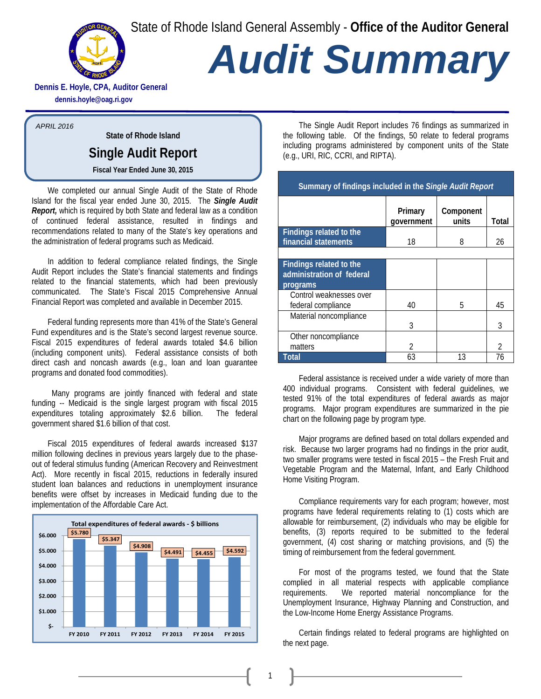State of Rhode Island General Assembly - **Office of the Auditor General**



## *Audit Summary*

**Dennis E. Hoyle, CPA, Auditor General dennis.hoyle@oag.ri.gov**

*APRIL 2016*

**State of Rhode Island** 

## **Single Audit Report**

**Fiscal Year Ended June 30, 2015**

We completed our annual Single Audit of the State of Rhode Island for the fiscal year ended June 30, 2015. The *Single Audit Report,* which is required by both State and federal law as a condition of continued federal assistance, resulted in findings and recommendations related to many of the State's key operations and the administration of federal programs such as Medicaid.

In addition to federal compliance related findings, the Single Audit Report includes the State's financial statements and findings related to the financial statements, which had been previously communicated. The State's Fiscal 2015 Comprehensive Annual Financial Report was completed and available in December 2015.

Federal funding represents more than 41% of the State's General Fund expenditures and is the State's second largest revenue source. Fiscal 2015 expenditures of federal awards totaled \$4.6 billion (including component units). Federal assistance consists of both direct cash and noncash awards (e.g., loan and loan guarantee programs and donated food commodities).

 Many programs are jointly financed with federal and state funding -- Medicaid is the single largest program with fiscal 2015 expenditures totaling approximately \$2.6 billion. The federal government shared \$1.6 billion of that cost.

Fiscal 2015 expenditures of federal awards increased \$137 million following declines in previous years largely due to the phaseout of federal stimulus funding (American Recovery and Reinvestment Act). More recently in fiscal 2015, reductions in federally insured student loan balances and reductions in unemployment insurance benefits were offset by increases in Medicaid funding due to the implementation of the Affordable Care Act.



The Single Audit Report includes 76 findings as summarized in the following table. Of the findings, 50 relate to federal programs including programs administered by component units of the State (e.g., URI, RIC, CCRI, and RIPTA).

| Summary of findings included in the Single Audit Report                 |                       |                    |                |
|-------------------------------------------------------------------------|-----------------------|--------------------|----------------|
|                                                                         | Primary<br>government | Component<br>units | Total          |
| <b>Findings related to the</b><br>financial statements                  | 18                    | 8                  | 26             |
|                                                                         |                       |                    |                |
| <b>Findings related to the</b><br>administration of federal<br>programs |                       |                    |                |
| Control weaknesses over<br>federal compliance                           | 40                    | 5                  | 45             |
| Material noncompliance                                                  | 3                     |                    | 3              |
| Other noncompliance<br>matters                                          | $\mathfrak{D}$        |                    | $\mathfrak{D}$ |
| Total                                                                   | 63                    | 13                 | 76             |

Federal assistance is received under a wide variety of more than 400 individual programs. Consistent with federal guidelines, we tested 91% of the total expenditures of federal awards as major programs. Major program expenditures are summarized in the pie chart on the following page by program type.

Major programs are defined based on total dollars expended and risk. Because two larger programs had no findings in the prior audit, two smaller programs were tested in fiscal 2015 – the Fresh Fruit and Vegetable Program and the Maternal, Infant, and Early Childhood Home Visiting Program.

Compliance requirements vary for each program; however, most programs have federal requirements relating to (1) costs which are allowable for reimbursement, (2) individuals who may be eligible for benefits, (3) reports required to be submitted to the federal government, (4) cost sharing or matching provisions, and (5) the timing of reimbursement from the federal government.

For most of the programs tested, we found that the State complied in all material respects with applicable compliance requirements. We reported material noncompliance for the Unemployment Insurance, Highway Planning and Construction, and the Low-Income Home Energy Assistance Programs.

Certain findings related to federal programs are highlighted on the next page.

1